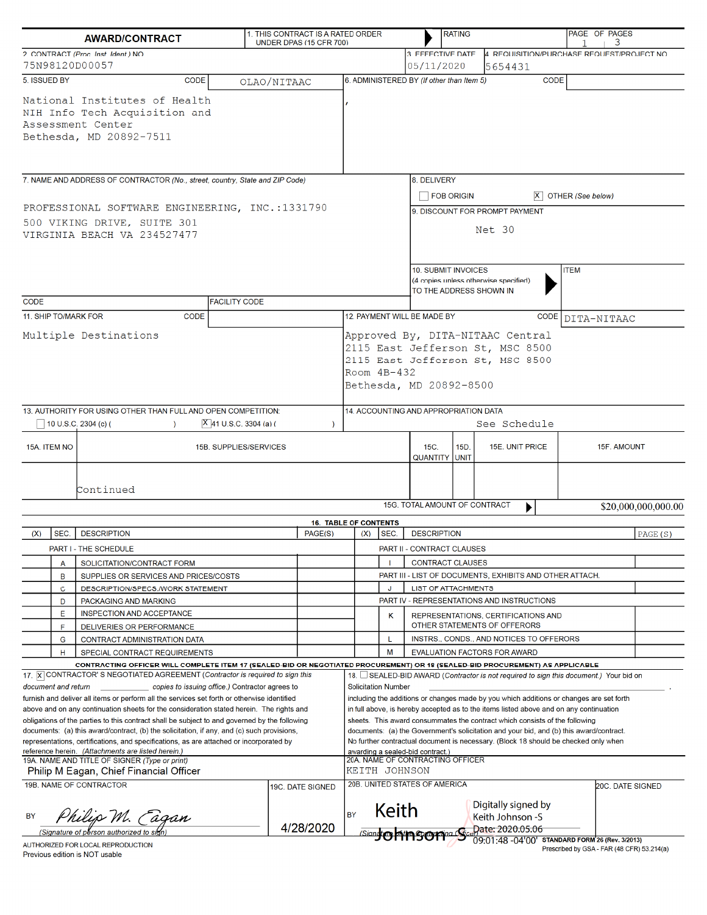| <b>AWARD/CONTRACT</b>                                                                                                                                                                                                                                                                                                                                                                                                                                                                                                                                                                    |                                                                                                                                                                                                               |                            | 1. THIS CONTRACT IS A RATED ORDER<br>UNDER DPAS (15 CFR 700) |                                                                                                                                                                                                                                                                                                                                                                                                                                                                                                                            |                                                                                    | <b>RATING</b>              |                                                                                                        |                                 |  |                                                                                      | PAGE OF PAGES<br>3 |                                            |                     |
|------------------------------------------------------------------------------------------------------------------------------------------------------------------------------------------------------------------------------------------------------------------------------------------------------------------------------------------------------------------------------------------------------------------------------------------------------------------------------------------------------------------------------------------------------------------------------------------|---------------------------------------------------------------------------------------------------------------------------------------------------------------------------------------------------------------|----------------------------|--------------------------------------------------------------|----------------------------------------------------------------------------------------------------------------------------------------------------------------------------------------------------------------------------------------------------------------------------------------------------------------------------------------------------------------------------------------------------------------------------------------------------------------------------------------------------------------------------|------------------------------------------------------------------------------------|----------------------------|--------------------------------------------------------------------------------------------------------|---------------------------------|--|--------------------------------------------------------------------------------------|--------------------|--------------------------------------------|---------------------|
| 2. CONTRACT (Proc. Inst. Ident.) NO.<br>75N98120D00057                                                                                                                                                                                                                                                                                                                                                                                                                                                                                                                                   |                                                                                                                                                                                                               |                            |                                                              |                                                                                                                                                                                                                                                                                                                                                                                                                                                                                                                            |                                                                                    |                            |                                                                                                        | 3. EFFECTIVE DATE<br>05/11/2020 |  | 4. REQUISITION/PURCHASE REQUEST/PROJECT NO.<br>5654431                               |                    |                                            |                     |
| 5. ISSUED BY                                                                                                                                                                                                                                                                                                                                                                                                                                                                                                                                                                             | <b>CODE</b>                                                                                                                                                                                                   |                            |                                                              |                                                                                                                                                                                                                                                                                                                                                                                                                                                                                                                            |                                                                                    |                            |                                                                                                        |                                 |  | <b>CODE</b>                                                                          |                    |                                            |                     |
| OLAO/NITAAC<br>National Institutes of Health<br>NIH Info Tech Acquisition and<br>Assessment Center<br>Bethesda, MD 20892-7511                                                                                                                                                                                                                                                                                                                                                                                                                                                            |                                                                                                                                                                                                               |                            |                                                              | 6. ADMINISTERED BY (If other than Item 5)                                                                                                                                                                                                                                                                                                                                                                                                                                                                                  |                                                                                    |                            |                                                                                                        |                                 |  |                                                                                      |                    |                                            |                     |
| 7. NAME AND ADDRESS OF CONTRACTOR (No., street, country, State and ZIP Code)                                                                                                                                                                                                                                                                                                                                                                                                                                                                                                             |                                                                                                                                                                                                               |                            |                                                              |                                                                                                                                                                                                                                                                                                                                                                                                                                                                                                                            |                                                                                    |                            | 8. DELIVERY                                                                                            |                                 |  |                                                                                      |                    |                                            |                     |
| PROFESSIONAL SOFTWARE ENGINEERING, INC.:1331790<br>500 VIKING DRIVE, SUITE 301<br>VIRGINIA BEACH VA 234527477                                                                                                                                                                                                                                                                                                                                                                                                                                                                            |                                                                                                                                                                                                               |                            |                                                              |                                                                                                                                                                                                                                                                                                                                                                                                                                                                                                                            | <b>FOB ORIGIN</b><br>OTHER (See below)<br>9. DISCOUNT FOR PROMPT PAYMENT<br>Net 30 |                            |                                                                                                        |                                 |  |                                                                                      |                    |                                            |                     |
| <b>FACILITY CODE</b><br><b>CODE</b>                                                                                                                                                                                                                                                                                                                                                                                                                                                                                                                                                      |                                                                                                                                                                                                               |                            |                                                              |                                                                                                                                                                                                                                                                                                                                                                                                                                                                                                                            |                                                                                    |                            | 10. SUBMIT INVOICES<br><b>ITEM</b><br>(4 copies unless otherwise specified)<br>TO THE ADDRESS SHOWN IN |                                 |  |                                                                                      |                    |                                            |                     |
| 11. SHIP TO/MARK FOR                                                                                                                                                                                                                                                                                                                                                                                                                                                                                                                                                                     | <b>CODE</b>                                                                                                                                                                                                   |                            |                                                              |                                                                                                                                                                                                                                                                                                                                                                                                                                                                                                                            | 12. PAYMENT WILL BE MADE BY                                                        |                            |                                                                                                        |                                 |  | CODE                                                                                 | DITA-NITAAC        |                                            |                     |
| Multiple Destinations                                                                                                                                                                                                                                                                                                                                                                                                                                                                                                                                                                    |                                                                                                                                                                                                               |                            |                                                              | Approved By, DITA-NITAAC Central<br>2115 East Jefferson St, MSC 8500<br>2115 East Jefferson St, MSC 8500<br>Room $4B-432$<br>Bethesda, MD 20892-8500                                                                                                                                                                                                                                                                                                                                                                       |                                                                                    |                            |                                                                                                        |                                 |  |                                                                                      |                    |                                            |                     |
|                                                                                                                                                                                                                                                                                                                                                                                                                                                                                                                                                                                          | 13. AUTHORITY FOR USING OTHER THAN FULL AND OPEN COMPETITION:                                                                                                                                                 |                            |                                                              | 14. ACCOUNTING AND APPROPRIATION DATA                                                                                                                                                                                                                                                                                                                                                                                                                                                                                      |                                                                                    |                            |                                                                                                        |                                 |  |                                                                                      |                    |                                            |                     |
|                                                                                                                                                                                                                                                                                                                                                                                                                                                                                                                                                                                          | $10$ U.S.C. 2304 (c) (                                                                                                                                                                                        | $ X $ 41 U.S.C. 3304 (a) ( | $\mathcal{L}$                                                | See Schedule                                                                                                                                                                                                                                                                                                                                                                                                                                                                                                               |                                                                                    |                            |                                                                                                        |                                 |  |                                                                                      |                    |                                            |                     |
| 15A. ITEM NO<br>15B. SUPPLIES/SERVICES                                                                                                                                                                                                                                                                                                                                                                                                                                                                                                                                                   |                                                                                                                                                                                                               |                            |                                                              |                                                                                                                                                                                                                                                                                                                                                                                                                                                                                                                            |                                                                                    |                            | 15C.<br>15D.<br>15E. UNIT PRICE<br>15F. AMOUNT<br><b>QUANTITY</b><br>UNIT                              |                                 |  |                                                                                      |                    |                                            |                     |
| Continued                                                                                                                                                                                                                                                                                                                                                                                                                                                                                                                                                                                |                                                                                                                                                                                                               |                            |                                                              |                                                                                                                                                                                                                                                                                                                                                                                                                                                                                                                            |                                                                                    |                            | 15G. TOTAL AMOUNT OF CONTRACT                                                                          |                                 |  | ▶                                                                                    |                    |                                            | \$20,000,000,000.00 |
|                                                                                                                                                                                                                                                                                                                                                                                                                                                                                                                                                                                          |                                                                                                                                                                                                               |                            | <b>16. TABLE OF CONTENTS</b>                                 |                                                                                                                                                                                                                                                                                                                                                                                                                                                                                                                            |                                                                                    |                            |                                                                                                        |                                 |  |                                                                                      |                    |                                            |                     |
| SEC.<br>(X)                                                                                                                                                                                                                                                                                                                                                                                                                                                                                                                                                                              | <b>DESCRIPTION</b>                                                                                                                                                                                            |                            | PAGE(S)                                                      |                                                                                                                                                                                                                                                                                                                                                                                                                                                                                                                            | (X)                                                                                | SEC.                       | <b>DESCRIPTION</b>                                                                                     |                                 |  |                                                                                      |                    |                                            | PAGE (S)            |
|                                                                                                                                                                                                                                                                                                                                                                                                                                                                                                                                                                                          | PART I - THE SCHEDULE                                                                                                                                                                                         |                            |                                                              |                                                                                                                                                                                                                                                                                                                                                                                                                                                                                                                            |                                                                                    |                            | PART II - CONTRACT CLAUSES                                                                             |                                 |  |                                                                                      |                    |                                            |                     |
| A<br>B                                                                                                                                                                                                                                                                                                                                                                                                                                                                                                                                                                                   | SOLICITATION/CONTRACT FORM                                                                                                                                                                                    |                            |                                                              |                                                                                                                                                                                                                                                                                                                                                                                                                                                                                                                            |                                                                                    |                            | <b>CONTRACT CLAUSES</b><br>PART III - LIST OF DOCUMENTS, EXHIBITS AND OTHER ATTACH.                    |                                 |  |                                                                                      |                    |                                            |                     |
| $\mathbf C$                                                                                                                                                                                                                                                                                                                                                                                                                                                                                                                                                                              | SUPPLIES OR SERVICES AND PRICES/COSTS<br>DESCRIPTION/SPECS./WORK STATEMENT                                                                                                                                    |                            |                                                              |                                                                                                                                                                                                                                                                                                                                                                                                                                                                                                                            |                                                                                    | J                          | LIST OF ATTACHMENTS                                                                                    |                                 |  |                                                                                      |                    |                                            |                     |
| D                                                                                                                                                                                                                                                                                                                                                                                                                                                                                                                                                                                        | PACKAGING AND MARKING                                                                                                                                                                                         |                            |                                                              |                                                                                                                                                                                                                                                                                                                                                                                                                                                                                                                            |                                                                                    |                            |                                                                                                        |                                 |  | PART IV - REPRESENTATIONS AND INSTRUCTIONS                                           |                    |                                            |                     |
| Ε<br>F                                                                                                                                                                                                                                                                                                                                                                                                                                                                                                                                                                                   | INSPECTION AND ACCEPTANCE<br>DELIVERIES OR PERFORMANCE                                                                                                                                                        |                            |                                                              |                                                                                                                                                                                                                                                                                                                                                                                                                                                                                                                            |                                                                                    | κ                          | REPRESENTATIONS, CERTIFICATIONS AND<br>OTHER STATEMENTS OF OFFERORS                                    |                                 |  |                                                                                      |                    |                                            |                     |
| G                                                                                                                                                                                                                                                                                                                                                                                                                                                                                                                                                                                        | CONTRACT ADMINISTRATION DATA                                                                                                                                                                                  |                            |                                                              |                                                                                                                                                                                                                                                                                                                                                                                                                                                                                                                            |                                                                                    |                            | INSTRS., CONDS., AND NOTICES TO OFFERORS                                                               |                                 |  |                                                                                      |                    |                                            |                     |
| н                                                                                                                                                                                                                                                                                                                                                                                                                                                                                                                                                                                        | SPECIAL CONTRACT REQUIREMENTS                                                                                                                                                                                 |                            |                                                              |                                                                                                                                                                                                                                                                                                                                                                                                                                                                                                                            |                                                                                    | M                          |                                                                                                        |                                 |  | EVALUATION FACTORS FOR AWARD                                                         |                    |                                            |                     |
|                                                                                                                                                                                                                                                                                                                                                                                                                                                                                                                                                                                          | CONTRACTING OFFICER WILL COMPLETE ITEM 17 (SEALED-BID OR NEGOTIATED PROCUREMENT) OR 18 (SEALED-BID PROCUREMENT) AS APPLICABLE<br>17. X CONTRACTOR'S NEGOTIATED AGREEMENT (Contractor is required to sign this |                            |                                                              |                                                                                                                                                                                                                                                                                                                                                                                                                                                                                                                            |                                                                                    |                            |                                                                                                        |                                 |  |                                                                                      |                    |                                            |                     |
| document and return                                                                                                                                                                                                                                                                                                                                                                                                                                                                                                                                                                      | copies to issuing office.) Contractor agrees to                                                                                                                                                               |                            |                                                              |                                                                                                                                                                                                                                                                                                                                                                                                                                                                                                                            |                                                                                    | <b>Solicitation Number</b> |                                                                                                        |                                 |  | 18. SEALED-BID AWARD (Contractor is not required to sign this document.) Your bid on |                    |                                            |                     |
| furnish and deliver all items or perform all the services set forth or otherwise identified<br>above and on any continuation sheets for the consideration stated herein. The rights and<br>obligations of the parties to this contract shall be subject to and governed by the following<br>documents: (a) this award/contract, (b) the solicitation, if any, and (c) such provisions,<br>representations, certifications, and specifications, as are attached or incorporated by<br>reference herein. (Attachments are listed herein.)<br>19A. NAME AND TITLE OF SIGNER (Type or print) |                                                                                                                                                                                                               |                            |                                                              | including the additions or changes made by you which additions or changes are set forth<br>in full above, is hereby accepted as to the items listed above and on any continuation<br>sheets. This award consummates the contract which consists of the following<br>documents: (a) the Government's solicitation and your bid, and (b) this award/contract.<br>No further contractual document is necessary. (Block 18 should be checked only when<br>awarding a sealed-bid contract.)<br>20A. NAME OF CONTRACTING OFFICER |                                                                                    |                            |                                                                                                        |                                 |  |                                                                                      |                    |                                            |                     |
| KEITH JOHNSON<br>Philip M Eagan, Chief Financial Officer<br>20B. UNITED STATES OF AMERICA                                                                                                                                                                                                                                                                                                                                                                                                                                                                                                |                                                                                                                                                                                                               |                            |                                                              |                                                                                                                                                                                                                                                                                                                                                                                                                                                                                                                            |                                                                                    |                            |                                                                                                        |                                 |  |                                                                                      |                    |                                            |                     |
| 19B. NAME OF CONTRACTOR<br><u>hilip M. Eagan</u><br>BY                                                                                                                                                                                                                                                                                                                                                                                                                                                                                                                                   |                                                                                                                                                                                                               |                            | 19C. DATE SIGNED<br>4/28/2020                                | <b>BY</b>                                                                                                                                                                                                                                                                                                                                                                                                                                                                                                                  |                                                                                    | Keith                      | Digitally signed by<br>Keith Johnson -S<br>Signation of the Storm Scenario 2020.05.06                  |                                 |  |                                                                                      | 20C. DATE SIGNED   |                                            |                     |
|                                                                                                                                                                                                                                                                                                                                                                                                                                                                                                                                                                                          | (Signature of person authorized to sil<br>AUTHORIZED FOR LOCAL REPRODUCTION                                                                                                                                   |                            |                                                              |                                                                                                                                                                                                                                                                                                                                                                                                                                                                                                                            |                                                                                    |                            |                                                                                                        |                                 |  | 09:01:48 -04'00' STANDARD FORM 26 (Rev. 3/2013)                                      |                    | Prescribed by GSA - FAR (48 CFR) 53 214(a) |                     |

Previous edition is NOT usable

Prescribed by GSA - FAR (48 CFR) 53.214(a)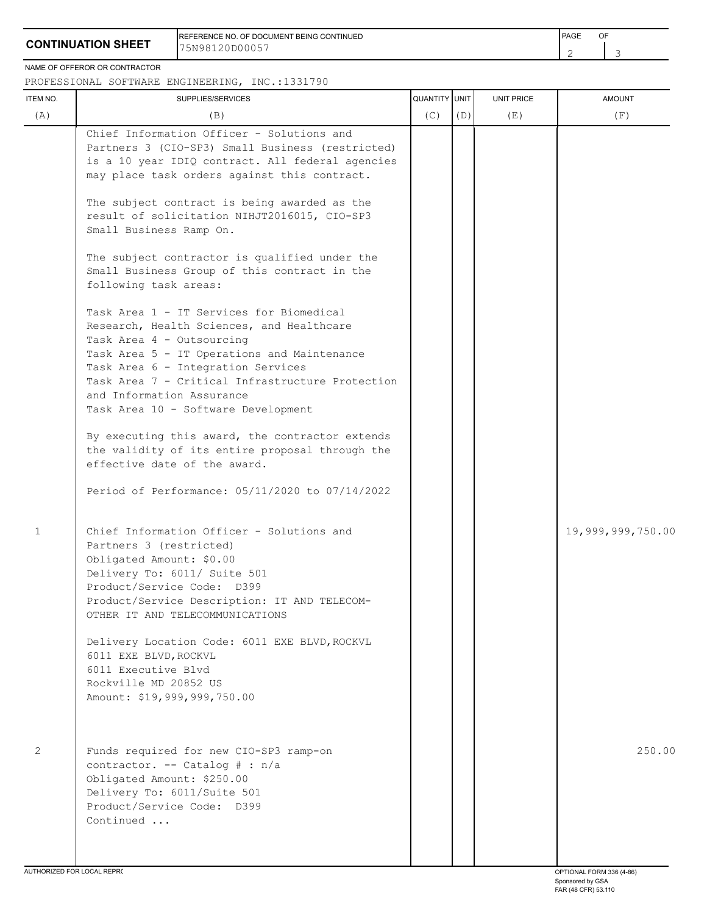## **CONTINUATION SHEET**

REFERENCE NO. OF DOCUMENT BEING CONTINUED **FRAME OF A SECONT ASSAULT A SECONT A** PAGE OF 75N98120D00057

2 3

#### NAME OF OFFEROR OR CONTRACTOR

### PROFESSIONAL SOFTWARE ENGINEERING, INC.:1331790

| ITEM NO.                    | SUPPLIES/SERVICES                                                                                                                                                                                                                                                                                                               | <b>QUANTITY UNIT</b> |     | UNIT PRICE | <b>AMOUNT</b>     |
|-----------------------------|---------------------------------------------------------------------------------------------------------------------------------------------------------------------------------------------------------------------------------------------------------------------------------------------------------------------------------|----------------------|-----|------------|-------------------|
| (A)                         | (B)                                                                                                                                                                                                                                                                                                                             | (C)                  | (D) | (E)        | (F)               |
|                             | Chief Information Officer - Solutions and<br>Partners 3 (CIO-SP3) Small Business (restricted)<br>is a 10 year IDIQ contract. All federal agencies<br>may place task orders against this contract.<br>The subject contract is being awarded as the                                                                               |                      |     |            |                   |
|                             | result of solicitation NIHJT2016015, CIO-SP3<br>Small Business Ramp On.                                                                                                                                                                                                                                                         |                      |     |            |                   |
|                             | The subject contractor is qualified under the<br>Small Business Group of this contract in the<br>following task areas:                                                                                                                                                                                                          |                      |     |            |                   |
|                             | Task Area 1 - IT Services for Biomedical<br>Research, Health Sciences, and Healthcare<br>Task Area 4 - Outsourcing<br>Task Area 5 - IT Operations and Maintenance<br>Task Area 6 - Integration Services<br>Task Area 7 - Critical Infrastructure Protection<br>and Information Assurance<br>Task Area 10 - Software Development |                      |     |            |                   |
|                             | By executing this award, the contractor extends<br>the validity of its entire proposal through the<br>effective date of the award.<br>Period of Performance: 05/11/2020 to 07/14/2022                                                                                                                                           |                      |     |            |                   |
| $\mathbf 1$                 | Chief Information Officer - Solutions and<br>Partners 3 (restricted)<br>Obligated Amount: \$0.00<br>Delivery To: 6011/ Suite 501<br>Product/Service Code: D399<br>Product/Service Description: IT AND TELECOM-<br>OTHER IT AND TELECOMMUNICATIONS                                                                               |                      |     |            | 19,999,999,750.00 |
|                             | Delivery Location Code: 6011 EXE BLVD, ROCKVL<br>6011 EXE BLVD, ROCKVL<br>6011 Executive Blvd<br>Rockville MD 20852 US<br>Amount: \$19,999,999,750.00                                                                                                                                                                           |                      |     |            |                   |
| 2                           | Funds required for new CIO-SP3 ramp-on<br>contractor. -- Catalog # : n/a<br>Obligated Amount: \$250.00<br>Delivery To: 6011/Suite 501<br>Product/Service Code: D399<br>Continued                                                                                                                                                |                      |     |            | 250.00            |
| ALITHODIZED EOR LOCAL REPRO |                                                                                                                                                                                                                                                                                                                                 |                      |     |            |                   |